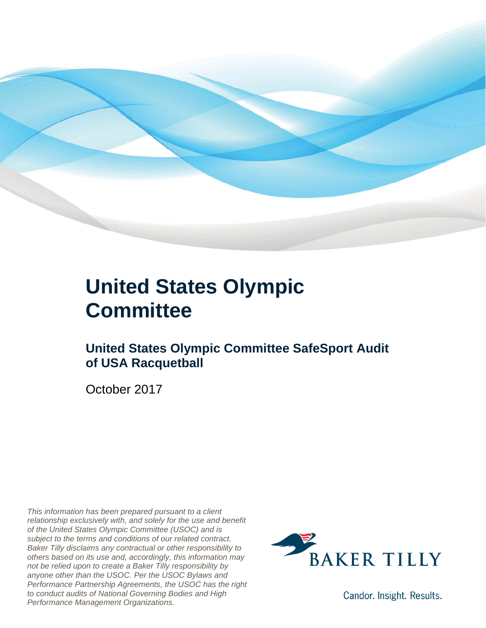

### **United States Olympic Committee**

### **United States Olympic Committee SafeSport Audit of USA Racquetball**

October 2017

*This information has been prepared pursuant to a client relationship exclusively with, and solely for the use and benefit of the United States Olympic Committee (USOC) and is subject to the terms and conditions of our related contract. Baker Tilly disclaims any contractual or other responsibility to others based on its use and, accordingly, this information may not be relied upon to create a Baker Tilly responsibility by anyone other than the USOC. Per the USOC Bylaws and Performance Partnership Agreements, the USOC has the right to conduct audits of National Governing Bodies and High Performance Management Organizations.*



Candor. Insight. Results.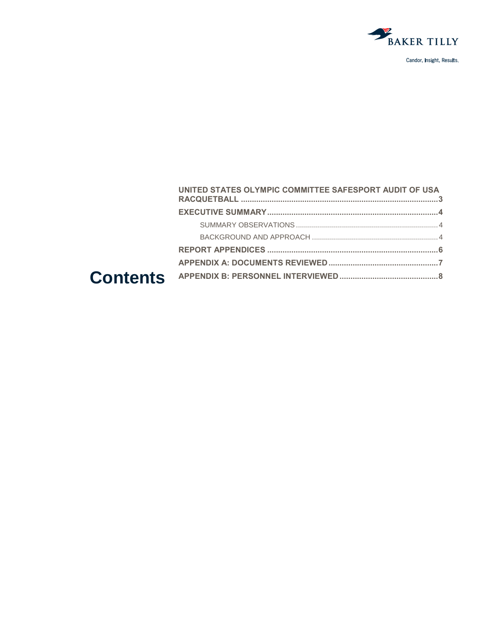

| UNITED STATES OLYMPIC COMMITTEE SAFESPORT AUDIT OF USA |  |
|--------------------------------------------------------|--|
|                                                        |  |
|                                                        |  |
|                                                        |  |
|                                                        |  |
|                                                        |  |
|                                                        |  |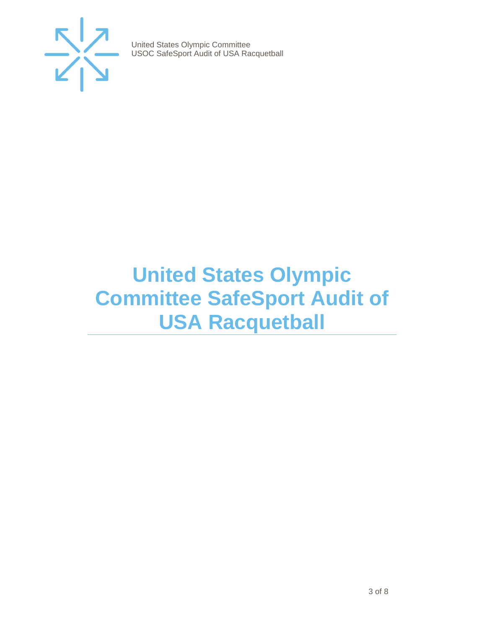

### <span id="page-2-0"></span>**United States Olympic Committee SafeSport Audit of USA Racquetball**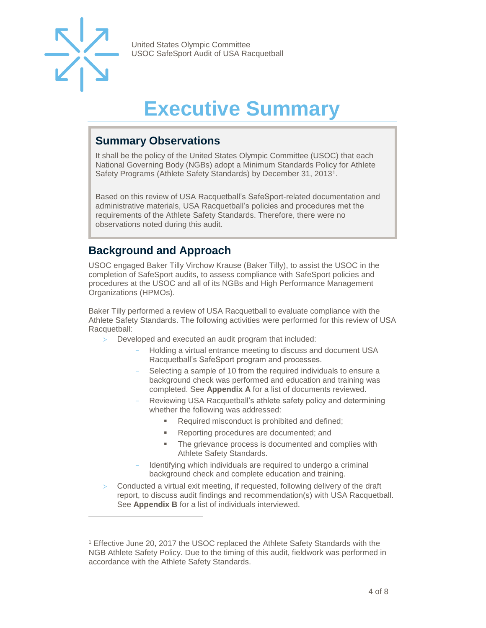

 $\overline{a}$ 

United States Olympic Committee USOC SafeSport Audit of USA Racquetball

## **Executive Summary**

#### <span id="page-3-1"></span><span id="page-3-0"></span>**Summary Observations**

It shall be the policy of the United States Olympic Committee (USOC) that each National Governing Body (NGBs) adopt a Minimum Standards Policy for Athlete Safety Programs (Athlete Safety Standards) by December 31, 2013<sup>1</sup>.

Based on this review of USA Racquetball's SafeSport-related documentation and administrative materials, USA Racquetball's policies and procedures met the requirements of the Athlete Safety Standards. Therefore, there were no observations noted during this audit.

#### <span id="page-3-2"></span>**Background and Approach**

USOC engaged Baker Tilly Virchow Krause (Baker Tilly), to assist the USOC in the completion of SafeSport audits, to assess compliance with SafeSport policies and procedures at the USOC and all of its NGBs and High Performance Management Organizations (HPMOs).

Baker Tilly performed a review of USA Racquetball to evaluate compliance with the Athlete Safety Standards. The following activities were performed for this review of USA Racquetball:

- Developed and executed an audit program that included:
	- Holding a virtual entrance meeting to discuss and document USA Racquetball's SafeSport program and processes.
	- Selecting a sample of 10 from the required individuals to ensure a background check was performed and education and training was completed. See **Appendix A** for a list of documents reviewed.
	- Reviewing USA Racquetball's athlete safety policy and determining whether the following was addressed:
		- Required misconduct is prohibited and defined;
		- Reporting procedures are documented; and
		- **The grievance process is documented and complies with** Athlete Safety Standards.
	- Identifying which individuals are required to undergo a criminal background check and complete education and training.
- Conducted a virtual exit meeting, if requested, following delivery of the draft report, to discuss audit findings and recommendation(s) with USA Racquetball. See **Appendix B** for a list of individuals interviewed.

<sup>1</sup> Effective June 20, 2017 the USOC replaced the Athlete Safety Standards with the NGB Athlete Safety Policy. Due to the timing of this audit, fieldwork was performed in accordance with the Athlete Safety Standards.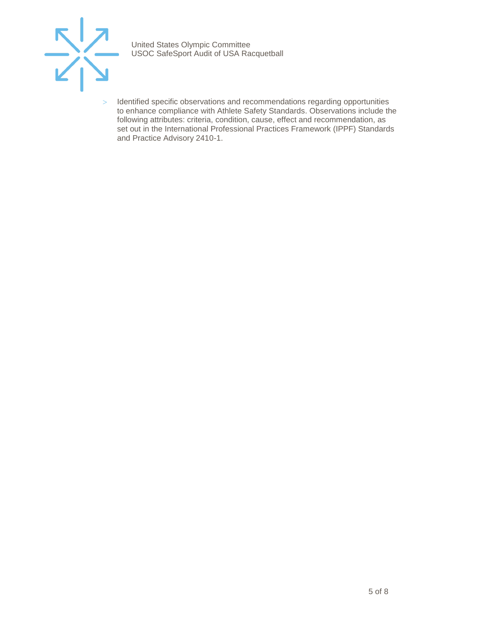

> Identified specific observations and recommendations regarding opportunities to enhance compliance with Athlete Safety Standards. Observations include the following attributes: criteria, condition, cause, effect and recommendation, as set out in the International Professional Practices Framework (IPPF) Standards and Practice Advisory 2410-1.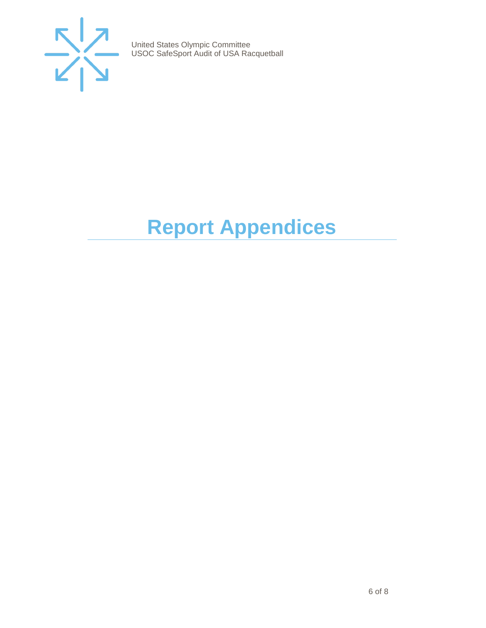

## <span id="page-5-0"></span>**Report Appendices**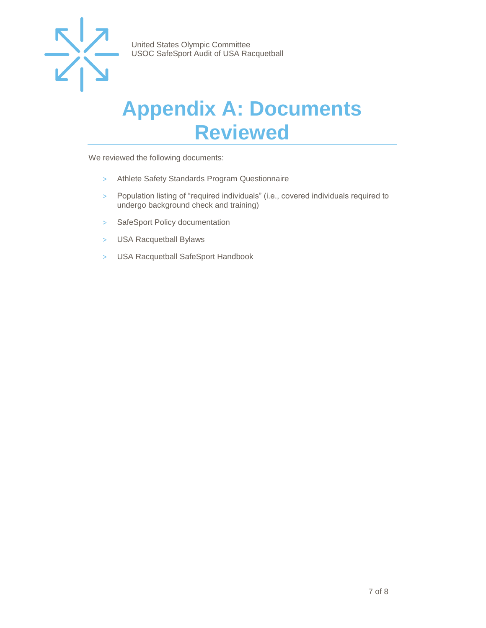

### <span id="page-6-0"></span>**Appendix A: Documents Reviewed**

We reviewed the following documents:

- > Athlete Safety Standards Program Questionnaire
- > Population listing of "required individuals" (i.e., covered individuals required to undergo background check and training)
- > SafeSport Policy documentation
- > USA Racquetball Bylaws
- > USA Racquetball SafeSport Handbook